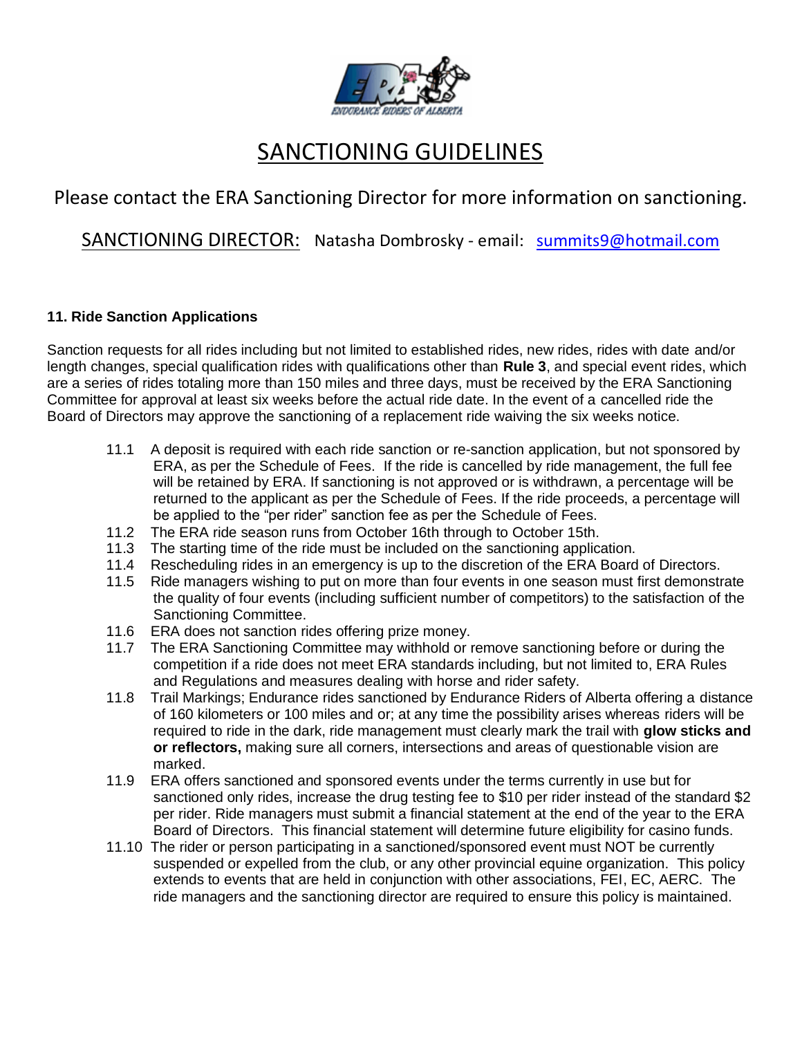

# SANCTIONING GUIDELINES

## Please contact the ERA Sanctioning Director for more information on sanctioning.

SANCTIONING DIRECTOR: Natasha Dombrosky - email: [summits9@hotmail.com](mailto:summits9@hotmail.com)

### **11. Ride Sanction Applications**

Sanction requests for all rides including but not limited to established rides, new rides, rides with date and/or length changes, special qualification rides with qualifications other than **Rule 3**, and special event rides, which are a series of rides totaling more than 150 miles and three days, must be received by the ERA Sanctioning Committee for approval at least six weeks before the actual ride date. In the event of a cancelled ride the Board of Directors may approve the sanctioning of a replacement ride waiving the six weeks notice.

- 11.1 A deposit is required with each ride sanction or re-sanction application, but not sponsored by ERA, as per the Schedule of Fees. If the ride is cancelled by ride management, the full fee will be retained by ERA. If sanctioning is not approved or is withdrawn, a percentage will be returned to the applicant as per the Schedule of Fees. If the ride proceeds, a percentage will be applied to the "per rider" sanction fee as per the Schedule of Fees.
- 11.2 The ERA ride season runs from October 16th through to October 15th.
- 11.3 The starting time of the ride must be included on the sanctioning application.
- 11.4 Rescheduling rides in an emergency is up to the discretion of the ERA Board of Directors.
- 11.5 Ride managers wishing to put on more than four events in one season must first demonstrate the quality of four events (including sufficient number of competitors) to the satisfaction of the Sanctioning Committee.
- 11.6 ERA does not sanction rides offering prize money.
- 11.7 The ERA Sanctioning Committee may withhold or remove sanctioning before or during the competition if a ride does not meet ERA standards including, but not limited to, ERA Rules and Regulations and measures dealing with horse and rider safety.
- 11.8 Trail Markings; Endurance rides sanctioned by Endurance Riders of Alberta offering a distance of 160 kilometers or 100 miles and or; at any time the possibility arises whereas riders will be required to ride in the dark, ride management must clearly mark the trail with **glow sticks and or reflectors,** making sure all corners, intersections and areas of questionable vision are marked.
- 11.9 ERA offers sanctioned and sponsored events under the terms currently in use but for sanctioned only rides, increase the drug testing fee to \$10 per rider instead of the standard \$2 per rider. Ride managers must submit a financial statement at the end of the year to the ERA Board of Directors. This financial statement will determine future eligibility for casino funds.
- 11.10 The rider or person participating in a sanctioned/sponsored event must NOT be currently suspended or expelled from the club, or any other provincial equine organization. This policy extends to events that are held in conjunction with other associations, FEI, EC, AERC. The ride managers and the sanctioning director are required to ensure this policy is maintained.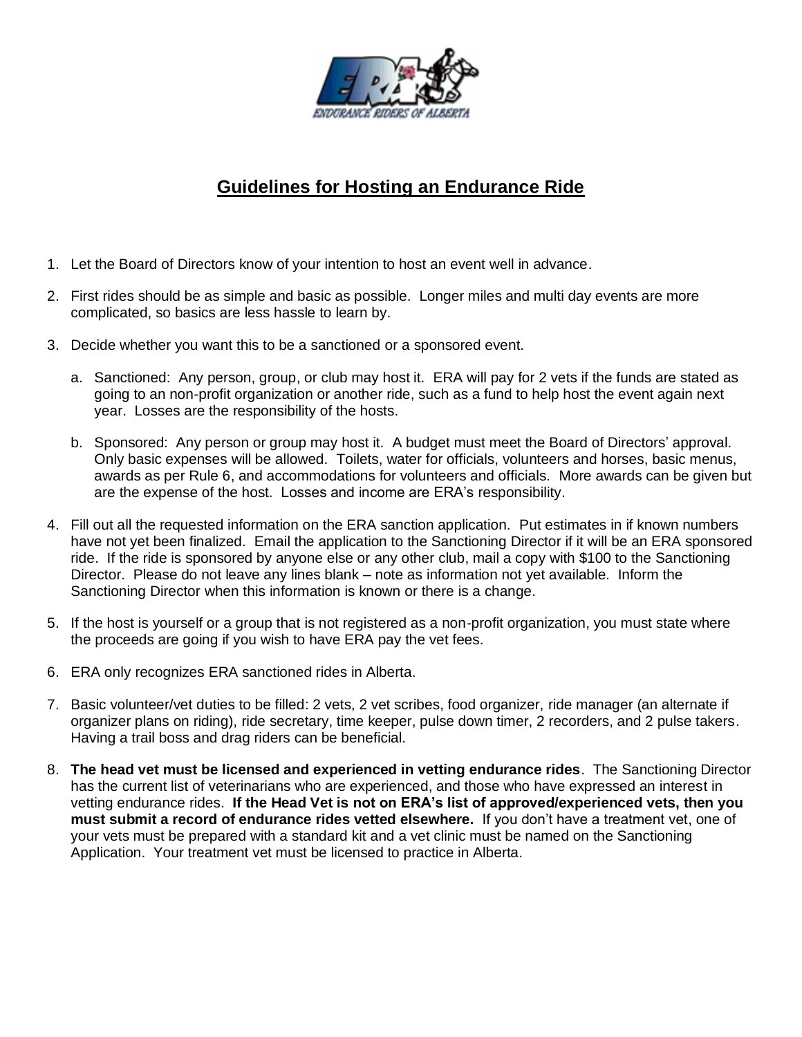

### **Guidelines for Hosting an Endurance Ride**

- 1. Let the Board of Directors know of your intention to host an event well in advance.
- 2. First rides should be as simple and basic as possible. Longer miles and multi day events are more complicated, so basics are less hassle to learn by.
- 3. Decide whether you want this to be a sanctioned or a sponsored event.
	- a. Sanctioned: Any person, group, or club may host it. ERA will pay for 2 vets if the funds are stated as going to an non-profit organization or another ride, such as a fund to help host the event again next year. Losses are the responsibility of the hosts.
	- b. Sponsored: Any person or group may host it. A budget must meet the Board of Directors' approval. Only basic expenses will be allowed. Toilets, water for officials, volunteers and horses, basic menus, awards as per Rule 6, and accommodations for volunteers and officials. More awards can be given but are the expense of the host. Losses and income are ERA's responsibility.
- 4. Fill out all the requested information on the ERA sanction application. Put estimates in if known numbers have not yet been finalized. Email the application to the Sanctioning Director if it will be an ERA sponsored ride. If the ride is sponsored by anyone else or any other club, mail a copy with \$100 to the Sanctioning Director. Please do not leave any lines blank – note as information not yet available. Inform the Sanctioning Director when this information is known or there is a change.
- 5. If the host is yourself or a group that is not registered as a non-profit organization, you must state where the proceeds are going if you wish to have ERA pay the vet fees.
- 6. ERA only recognizes ERA sanctioned rides in Alberta.
- 7. Basic volunteer/vet duties to be filled: 2 vets, 2 vet scribes, food organizer, ride manager (an alternate if organizer plans on riding), ride secretary, time keeper, pulse down timer, 2 recorders, and 2 pulse takers. Having a trail boss and drag riders can be beneficial.
- 8. **The head vet must be licensed and experienced in vetting endurance rides**. The Sanctioning Director has the current list of veterinarians who are experienced, and those who have expressed an interest in vetting endurance rides. **If the Head Vet is not on ERA's list of approved/experienced vets, then you must submit a record of endurance rides vetted elsewhere.** If you don't have a treatment vet, one of your vets must be prepared with a standard kit and a vet clinic must be named on the Sanctioning Application. Your treatment vet must be licensed to practice in Alberta.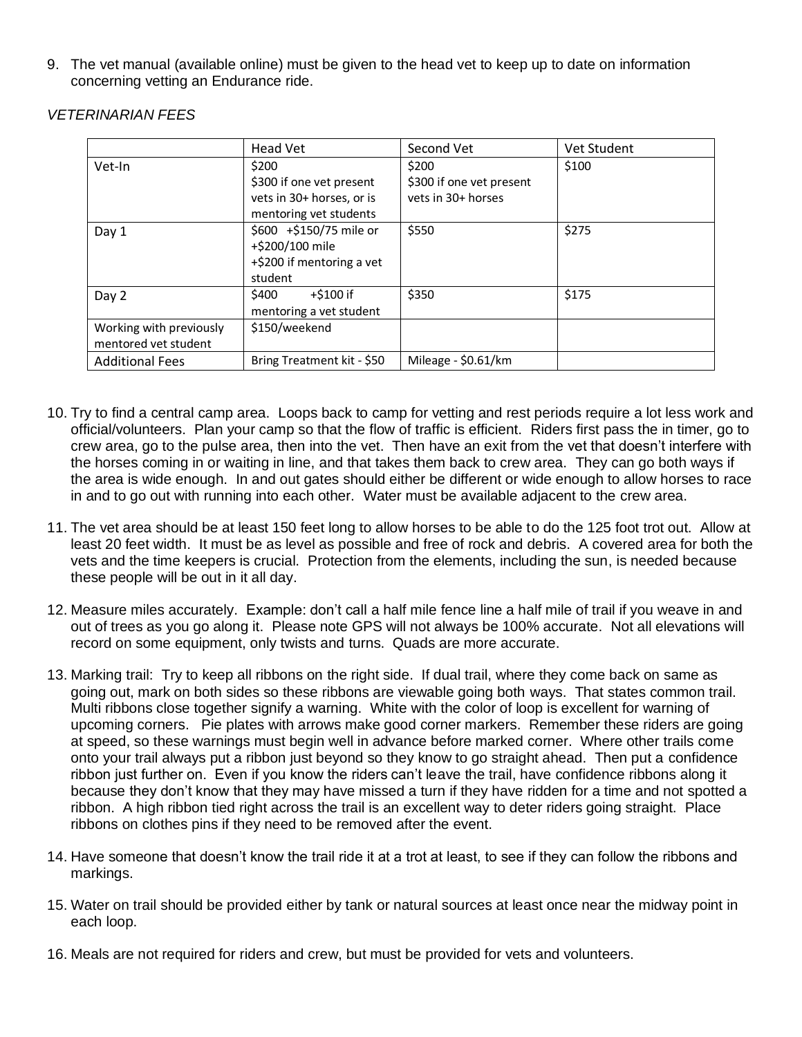9. The vet manual (available online) must be given to the head vet to keep up to date on information concerning vetting an Endurance ride.

|                         | <b>Head Vet</b>            | Second Vet               | Vet Student |
|-------------------------|----------------------------|--------------------------|-------------|
| Vet-In                  | \$200                      | \$200                    | \$100       |
|                         | \$300 if one vet present   | \$300 if one vet present |             |
|                         | vets in 30+ horses, or is  | vets in 30+ horses       |             |
|                         | mentoring vet students     |                          |             |
| Day 1                   | \$600 +\$150/75 mile or    | \$550                    | \$275       |
|                         | +\$200/100 mile            |                          |             |
|                         | +\$200 if mentoring a vet  |                          |             |
|                         | student                    |                          |             |
| Day 2                   | \$400<br>+\$100 if         | \$350                    | \$175       |
|                         | mentoring a vet student    |                          |             |
| Working with previously | \$150/weekend              |                          |             |
| mentored vet student    |                            |                          |             |
| <b>Additional Fees</b>  | Bring Treatment kit - \$50 | Mileage - \$0.61/km      |             |

#### *VETERINARIAN FEES*

- 10. Try to find a central camp area. Loops back to camp for vetting and rest periods require a lot less work and official/volunteers. Plan your camp so that the flow of traffic is efficient. Riders first pass the in timer, go to crew area, go to the pulse area, then into the vet. Then have an exit from the vet that doesn't interfere with the horses coming in or waiting in line, and that takes them back to crew area. They can go both ways if the area is wide enough. In and out gates should either be different or wide enough to allow horses to race in and to go out with running into each other. Water must be available adjacent to the crew area.
- 11. The vet area should be at least 150 feet long to allow horses to be able to do the 125 foot trot out. Allow at least 20 feet width. It must be as level as possible and free of rock and debris. A covered area for both the vets and the time keepers is crucial. Protection from the elements, including the sun, is needed because these people will be out in it all day.
- 12. Measure miles accurately. Example: don't call a half mile fence line a half mile of trail if you weave in and out of trees as you go along it. Please note GPS will not always be 100% accurate. Not all elevations will record on some equipment, only twists and turns. Quads are more accurate.
- 13. Marking trail: Try to keep all ribbons on the right side. If dual trail, where they come back on same as going out, mark on both sides so these ribbons are viewable going both ways. That states common trail. Multi ribbons close together signify a warning. White with the color of loop is excellent for warning of upcoming corners. Pie plates with arrows make good corner markers. Remember these riders are going at speed, so these warnings must begin well in advance before marked corner. Where other trails come onto your trail always put a ribbon just beyond so they know to go straight ahead. Then put a confidence ribbon just further on. Even if you know the riders can't leave the trail, have confidence ribbons along it because they don't know that they may have missed a turn if they have ridden for a time and not spotted a ribbon. A high ribbon tied right across the trail is an excellent way to deter riders going straight. Place ribbons on clothes pins if they need to be removed after the event.
- 14. Have someone that doesn't know the trail ride it at a trot at least, to see if they can follow the ribbons and markings.
- 15. Water on trail should be provided either by tank or natural sources at least once near the midway point in each loop.
- 16. Meals are not required for riders and crew, but must be provided for vets and volunteers.